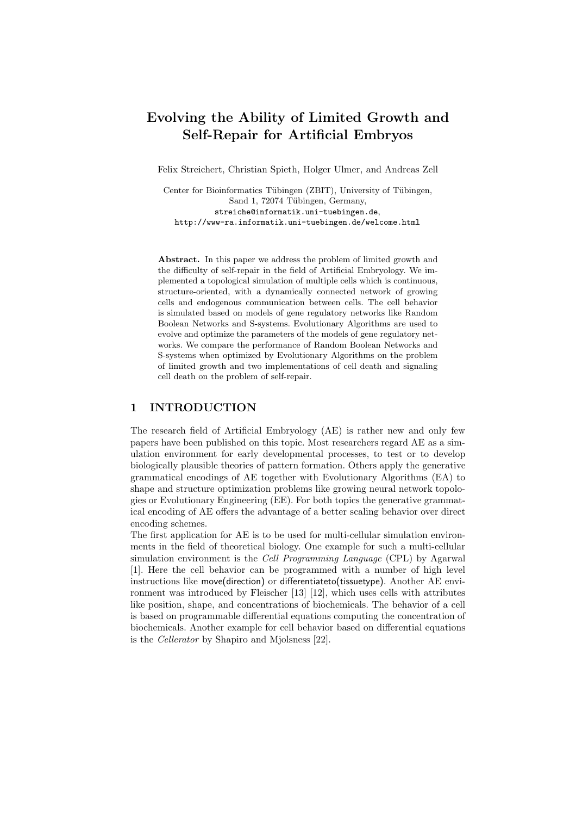# **Evolving the Ability of Limited Growth and Self-Repair for Artificial Embryos**

Felix Streichert, Christian Spieth, Holger Ulmer, and Andreas Zell

Center for Bioinformatics Tübingen (ZBIT), University of Tübingen, Sand 1, 72074 Tübingen, Germany, streiche@informatik.uni-tuebingen.de, http://www-ra.informatik.uni-tuebingen.de/welcome.html

**Abstract.** In this paper we address the problem of limited growth and the difficulty of self-repair in the field of Artificial Embryology. We implemented a topological simulation of multiple cells which is continuous, structure-oriented, with a dynamically connected network of growing cells and endogenous communication between cells. The cell behavior is simulated based on models of gene regulatory networks like Random Boolean Networks and S-systems. Evolutionary Algorithms are used to evolve and optimize the parameters of the models of gene regulatory networks. We compare the performance of Random Boolean Networks and S-systems when optimized by Evolutionary Algorithms on the problem of limited growth and two implementations of cell death and signaling cell death on the problem of self-repair.

# **1 INTRODUCTION**

The research field of Artificial Embryology (AE) is rather new and only few papers have been published on this topic. Most researchers regard AE as a simulation environment for early developmental processes, to test or to develop biologically plausible theories of pattern formation. Others apply the generative grammatical encodings of AE together with Evolutionary Algorithms (EA) to shape and structure optimization problems like growing neural network topologies or Evolutionary Engineering (EE). For both topics the generative grammatical encoding of AE offers the advantage of a better scaling behavior over direct encoding schemes.

The first application for AE is to be used for multi-cellular simulation environments in the field of theoretical biology. One example for such a multi-cellular simulation environment is the *Cell Programming Language* (CPL) by Agarwal [1]. Here the cell behavior can be programmed with a number of high level instructions like move(direction) or differentiateto(tissuetype). Another AE environment was introduced by Fleischer [13] [12], which uses cells with attributes like position, shape, and concentrations of biochemicals. The behavior of a cell is based on programmable differential equations computing the concentration of biochemicals. Another example for cell behavior based on differential equations is the *Cellerator* by Shapiro and Mjolsness [22].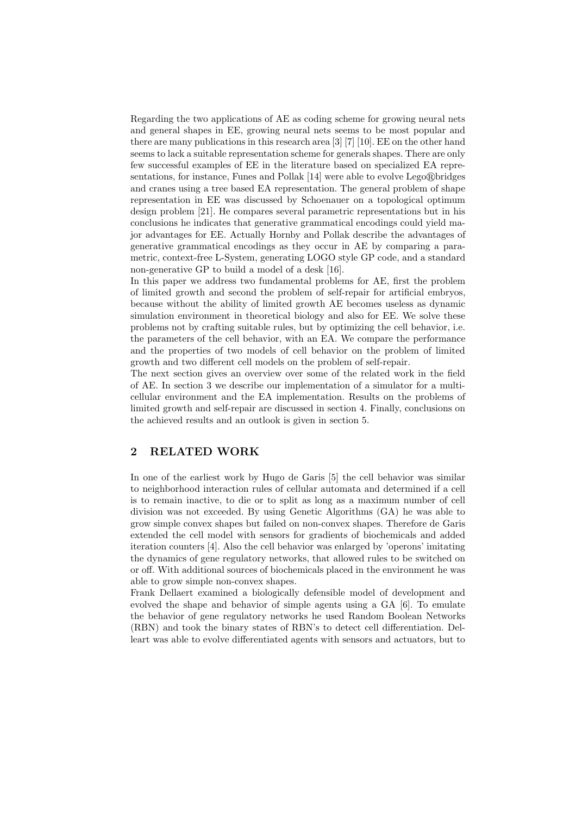Regarding the two applications of AE as coding scheme for growing neural nets and general shapes in EE, growing neural nets seems to be most popular and there are many publications in this research area [3] [7] [10]. EE on the other hand seems to lack a suitable representation scheme for generals shapes. There are only few successful examples of EE in the literature based on specialized EA representations, for instance, Funes and Pollak  $[14]$  were able to evolve Lego $\mathbb{R}$ bridges and cranes using a tree based EA representation. The general problem of shape representation in EE was discussed by Schoenauer on a topological optimum design problem [21]. He compares several parametric representations but in his conclusions he indicates that generative grammatical encodings could yield major advantages for EE. Actually Hornby and Pollak describe the advantages of generative grammatical encodings as they occur in AE by comparing a parametric, context-free L-System, generating LOGO style GP code, and a standard non-generative GP to build a model of a desk [16].

In this paper we address two fundamental problems for AE, first the problem of limited growth and second the problem of self-repair for artificial embryos, because without the ability of limited growth AE becomes useless as dynamic simulation environment in theoretical biology and also for EE. We solve these problems not by crafting suitable rules, but by optimizing the cell behavior, i.e. the parameters of the cell behavior, with an EA. We compare the performance and the properties of two models of cell behavior on the problem of limited growth and two different cell models on the problem of self-repair.

The next section gives an overview over some of the related work in the field of AE. In section 3 we describe our implementation of a simulator for a multicellular environment and the EA implementation. Results on the problems of limited growth and self-repair are discussed in section 4. Finally, conclusions on the achieved results and an outlook is given in section 5.

# **2 RELATED WORK**

In one of the earliest work by Hugo de Garis [5] the cell behavior was similar to neighborhood interaction rules of cellular automata and determined if a cell is to remain inactive, to die or to split as long as a maximum number of cell division was not exceeded. By using Genetic Algorithms (GA) he was able to grow simple convex shapes but failed on non-convex shapes. Therefore de Garis extended the cell model with sensors for gradients of biochemicals and added iteration counters [4]. Also the cell behavior was enlarged by 'operons' imitating the dynamics of gene regulatory networks, that allowed rules to be switched on or off. With additional sources of biochemicals placed in the environment he was able to grow simple non-convex shapes.

Frank Dellaert examined a biologically defensible model of development and evolved the shape and behavior of simple agents using a GA [6]. To emulate the behavior of gene regulatory networks he used Random Boolean Networks (RBN) and took the binary states of RBN's to detect cell differentiation. Delleart was able to evolve differentiated agents with sensors and actuators, but to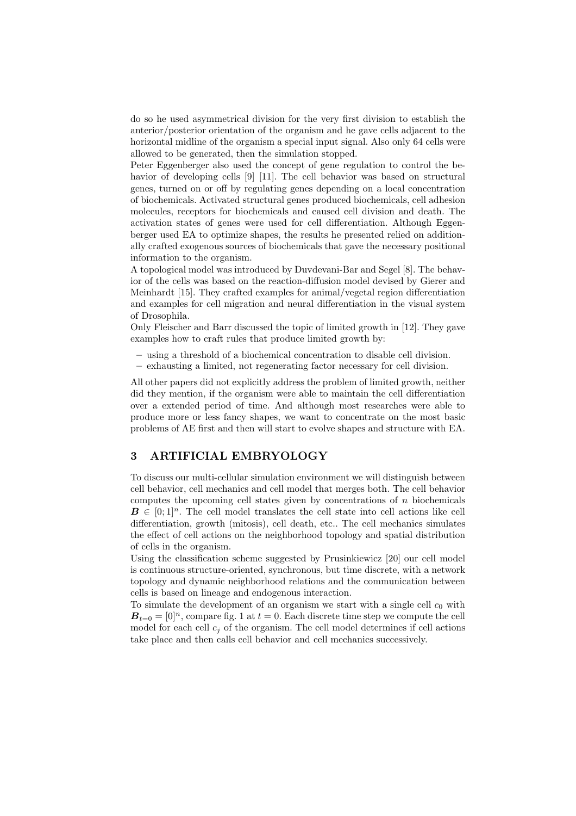do so he used asymmetrical division for the very first division to establish the anterior/posterior orientation of the organism and he gave cells adjacent to the horizontal midline of the organism a special input signal. Also only 64 cells were allowed to be generated, then the simulation stopped.

Peter Eggenberger also used the concept of gene regulation to control the behavior of developing cells [9] [11]. The cell behavior was based on structural genes, turned on or off by regulating genes depending on a local concentration of biochemicals. Activated structural genes produced biochemicals, cell adhesion molecules, receptors for biochemicals and caused cell division and death. The activation states of genes were used for cell differentiation. Although Eggenberger used EA to optimize shapes, the results he presented relied on additionally crafted exogenous sources of biochemicals that gave the necessary positional information to the organism.

A topological model was introduced by Duvdevani-Bar and Segel [8]. The behavior of the cells was based on the reaction-diffusion model devised by Gierer and Meinhardt [15]. They crafted examples for animal/vegetal region differentiation and examples for cell migration and neural differentiation in the visual system of Drosophila.

Only Fleischer and Barr discussed the topic of limited growth in [12]. They gave examples how to craft rules that produce limited growth by:

- **–** using a threshold of a biochemical concentration to disable cell division.
- **–** exhausting a limited, not regenerating factor necessary for cell division.

All other papers did not explicitly address the problem of limited growth, neither did they mention, if the organism were able to maintain the cell differentiation over a extended period of time. And although most researches were able to produce more or less fancy shapes, we want to concentrate on the most basic problems of AE first and then will start to evolve shapes and structure with EA.

# **3 ARTIFICIAL EMBRYOLOGY**

To discuss our multi-cellular simulation environment we will distinguish between cell behavior, cell mechanics and cell model that merges both. The cell behavior computes the upcoming cell states given by concentrations of  $n$  biochemicals  $B \in [0,1]^n$ . The cell model translates the cell state into cell actions like cell differentiation, growth (mitosis), cell death, etc.. The cell mechanics simulates the effect of cell actions on the neighborhood topology and spatial distribution of cells in the organism.

Using the classification scheme suggested by Prusinkiewicz [20] our cell model is continuous structure-oriented, synchronous, but time discrete, with a network topology and dynamic neighborhood relations and the communication between cells is based on lineage and endogenous interaction.

To simulate the development of an organism we start with a single cell  $c_0$  with  $B_{t=0} = [0]^n$ , compare fig. 1 at  $t = 0$ . Each discrete time step we compute the cell model for each cell  $c_i$  of the organism. The cell model determines if cell actions take place and then calls cell behavior and cell mechanics successively.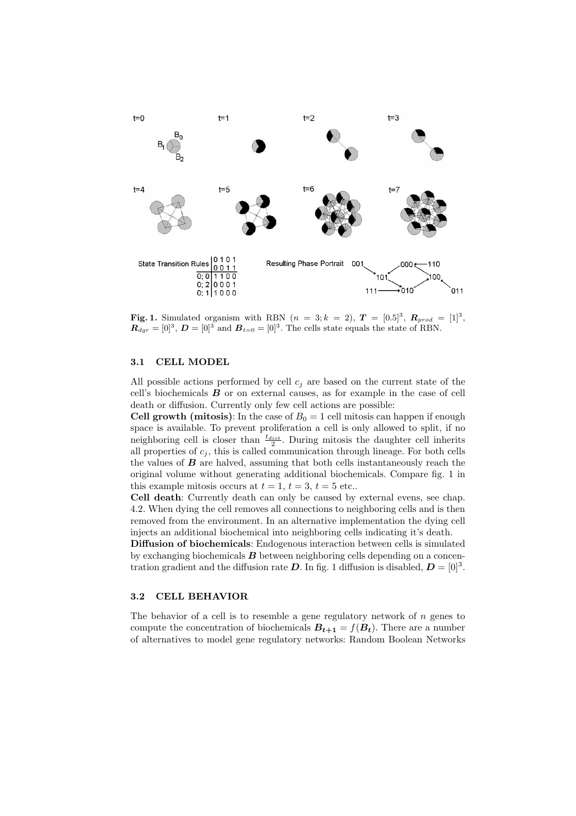

**Fig. 1.** Simulated organism with RBN  $(n = 3; k = 2), T = [0.5]^3, R_{prod} = [1]^3$ ,  $\mathbf{R}_{dqr} = [0]^3$ ,  $\mathbf{D} = [0]^3$  and  $\mathbf{B}_{t=0} = [0]^3$ . The cells state equals the state of RBN.

#### **3.1 CELL MODEL**

All possible actions performed by cell  $c_j$  are based on the current state of the cell's biochemicals *B* or on external causes, as for example in the case of cell death or diffusion. Currently only few cell actions are possible:

**Cell growth (mitosis)**: In the case of  $B_0 = 1$  cell mitosis can happen if enough space is available. To prevent proliferation a cell is only allowed to split, if no neighboring cell is closer than  $\frac{t_{dist}}{2}$ . During mitosis the daughter cell inherits all properties of  $c_i$ , this is called communication through lineage. For both cells the values of *B* are halved, assuming that both cells instantaneously reach the original volume without generating additional biochemicals. Compare fig. 1 in this example mitosis occurs at  $t = 1$ ,  $t = 3$ ,  $t = 5$  etc..

**Cell death**: Currently death can only be caused by external evens, see chap. 4.2. When dying the cell removes all connections to neighboring cells and is then removed from the environment. In an alternative implementation the dying cell injects an additional biochemical into neighboring cells indicating it's death.

**Diffusion of biochemicals**: Endogenous interaction between cells is simulated by exchanging biochemicals *B* between neighboring cells depending on a concentration gradient and the diffusion rate  $D$ . In fig. 1 diffusion is disabled,  $D = [0]^3$ .

## **3.2 CELL BEHAVIOR**

The behavior of a cell is to resemble a gene regulatory network of  $n$  genes to compute the concentration of biochemicals  $B_{t+1} = f(B_t)$ . There are a number of alternatives to model gene regulatory networks: Random Boolean Networks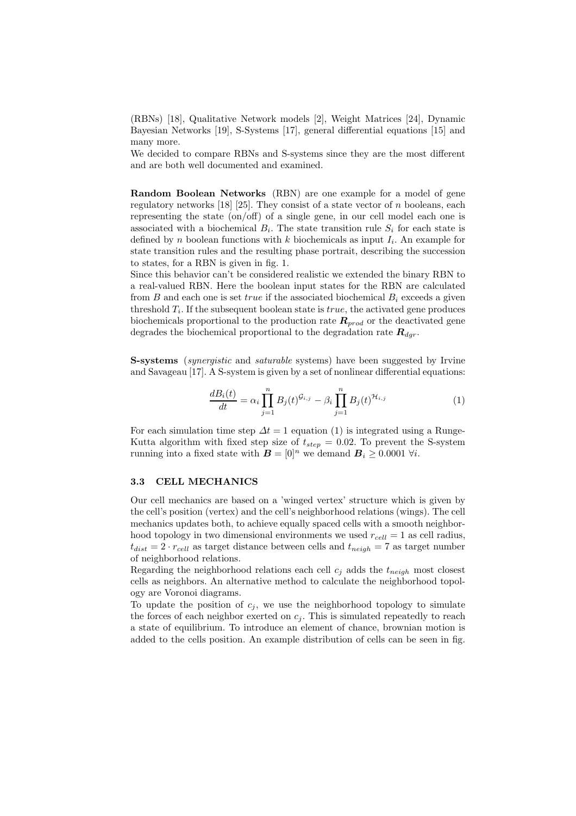(RBNs) [18], Qualitative Network models [2], Weight Matrices [24], Dynamic Bayesian Networks [19], S-Systems [17], general differential equations [15] and many more.

We decided to compare RBNs and S-systems since they are the most different and are both well documented and examined.

**Random Boolean Networks** (RBN) are one example for a model of gene regulatory networks  $[18]$   $[25]$ . They consist of a state vector of n booleans, each representing the state (on/off) of a single gene, in our cell model each one is associated with a biochemical  $B_i$ . The state transition rule  $S_i$  for each state is defined by n boolean functions with k biochemicals as input  $I_i$ . An example for state transition rules and the resulting phase portrait, describing the succession to states, for a RBN is given in fig. 1.

Since this behavior can't be considered realistic we extended the binary RBN to a real-valued RBN. Here the boolean input states for the RBN are calculated from B and each one is set true if the associated biochemical  $B_i$  exceeds a given threshold  $T_i$ . If the subsequent boolean state is  $true$ , the activated gene produces biochemicals proportional to the production rate  $R_{prod}$  or the deactivated gene degrades the biochemical proportional to the degradation rate  $\mathbf{R}_{dgr}$ .

**S-systems** (*synergistic* and *saturable* systems) have been suggested by Irvine and Savageau [17]. A S-system is given by a set of nonlinear differential equations:

$$
\frac{dB_i(t)}{dt} = \alpha_i \prod_{j=1}^n B_j(t)^{\mathcal{G}_{i,j}} - \beta_i \prod_{j=1}^n B_j(t)^{\mathcal{H}_{i,j}} \tag{1}
$$

For each simulation time step  $\Delta t = 1$  equation (1) is integrated using a Runge-Kutta algorithm with fixed step size of  $t_{step} = 0.02$ . To prevent the S-system running into a fixed state with  $\mathbf{B} = [0]^n$  we demand  $\mathbf{B}_i \geq 0.0001$   $\forall i$ .

## **3.3 CELL MECHANICS**

Our cell mechanics are based on a 'winged vertex' structure which is given by the cell's position (vertex) and the cell's neighborhood relations (wings). The cell mechanics updates both, to achieve equally spaced cells with a smooth neighborhood topology in two dimensional environments we used  $r_{cell} = 1$  as cell radius,  $t_{dist} = 2 \cdot r_{cell}$  as target distance between cells and  $t_{neigh} = 7$  as target number of neighborhood relations.

Regarding the neighborhood relations each cell  $c_i$  adds the  $t_{neich}$  most closest cells as neighbors. An alternative method to calculate the neighborhood topology are Voronoi diagrams.

To update the position of  $c_i$ , we use the neighborhood topology to simulate the forces of each neighbor exerted on  $c_j$ . This is simulated repeatedly to reach a state of equilibrium. To introduce an element of chance, brownian motion is added to the cells position. An example distribution of cells can be seen in fig.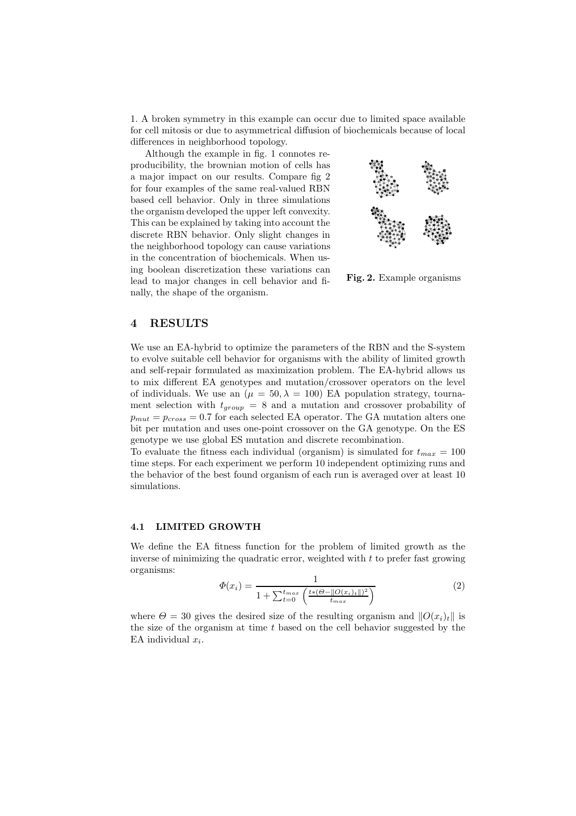1. A broken symmetry in this example can occur due to limited space available for cell mitosis or due to asymmetrical diffusion of biochemicals because of local differences in neighborhood topology.

Although the example in fig. 1 connotes reproducibility, the brownian motion of cells has a major impact on our results. Compare fig 2 for four examples of the same real-valued RBN based cell behavior. Only in three simulations the organism developed the upper left convexity. This can be explained by taking into account the discrete RBN behavior. Only slight changes in the neighborhood topology can cause variations in the concentration of biochemicals. When using boolean discretization these variations can lead to major changes in cell behavior and finally, the shape of the organism.



**Fig. 2.** Example organisms

## **4 RESULTS**

We use an EA-hybrid to optimize the parameters of the RBN and the S-system to evolve suitable cell behavior for organisms with the ability of limited growth and self-repair formulated as maximization problem. The EA-hybrid allows us to mix different EA genotypes and mutation/crossover operators on the level of individuals. We use an ( $\mu = 50, \lambda = 100$ ) EA population strategy, tournament selection with  $t_{group} = 8$  and a mutation and crossover probability of  $p_{mut} = p_{cross} = 0.7$  for each selected EA operator. The GA mutation alters one bit per mutation and uses one-point crossover on the GA genotype. On the ES genotype we use global ES mutation and discrete recombination.

To evaluate the fitness each individual (organism) is simulated for  $t_{max} = 100$ time steps. For each experiment we perform 10 independent optimizing runs and the behavior of the best found organism of each run is averaged over at least 10 simulations.

## **4.1 LIMITED GROWTH**

We define the EA fitness function for the problem of limited growth as the inverse of minimizing the quadratic error, weighted with  $t$  to prefer fast growing organisms:

$$
\Phi(x_i) = \frac{1}{1 + \sum_{t=0}^{t_{max}} \left( \frac{t*(\Theta - ||O(x_i)_t||)^2}{t_{max}} \right)}
$$
(2)

where  $\Theta = 30$  gives the desired size of the resulting organism and  $||O(x_i)_t||$  is the size of the organism at time  $t$  based on the cell behavior suggested by the EA individual  $x_i$ .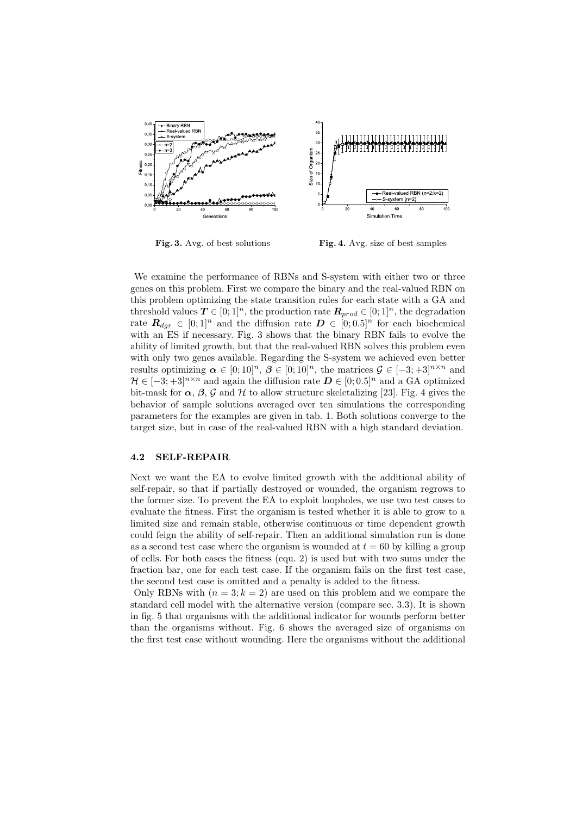

**Fig. 3.** Avg. of best solutions **Fig. 4.** Avg. size of best samples

We examine the performance of RBNs and S-system with either two or three genes on this problem. First we compare the binary and the real-valued RBN on this problem optimizing the state transition rules for each state with a GA and threshold values  $T \in [0,1]^n$ , the production rate  $\mathbf{R}_{prod} \in [0,1]^n$ , the degradation rate  $\mathbf{R}_{dqr} \in [0,1]^n$  and the diffusion rate  $\mathbf{D} \in [0,0.5]^n$  for each biochemical with an ES if necessary. Fig. 3 shows that the binary RBN fails to evolve the ability of limited growth, but that the real-valued RBN solves this problem even with only two genes available. Regarding the S-system we achieved even better results optimizing  $\alpha \in [0; 10]^n$ ,  $\beta \in [0; 10]^n$ , the matrices  $\mathcal{G} \in [-3; +3]^{n \times n}$  and  $\mathcal{H} \in [-3, +3]^{n \times n}$  and again the diffusion rate  $\mathbf{D} \in [0, 0.5]^{n}$  and a GA optimized bit-mask for  $\alpha$ ,  $\beta$ ,  $\beta$  and  $\mathcal H$  to allow structure skeletalizing [23]. Fig. 4 gives the behavior of sample solutions averaged over ten simulations the corresponding parameters for the examples are given in tab. 1. Both solutions converge to the target size, but in case of the real-valued RBN with a high standard deviation.

## **4.2 SELF-REPAIR**

Next we want the EA to evolve limited growth with the additional ability of self-repair, so that if partially destroyed or wounded, the organism regrows to the former size. To prevent the EA to exploit loopholes, we use two test cases to evaluate the fitness. First the organism is tested whether it is able to grow to a limited size and remain stable, otherwise continuous or time dependent growth could feign the ability of self-repair. Then an additional simulation run is done as a second test case where the organism is wounded at  $t = 60$  by killing a group of cells. For both cases the fitness (equ. 2) is used but with two sums under the fraction bar, one for each test case. If the organism fails on the first test case, the second test case is omitted and a penalty is added to the fitness.

Only RBNs with  $(n = 3; k = 2)$  are used on this problem and we compare the standard cell model with the alternative version (compare sec. 3.3). It is shown in fig. 5 that organisms with the additional indicator for wounds perform better than the organisms without. Fig. 6 shows the averaged size of organisms on the first test case without wounding. Here the organisms without the additional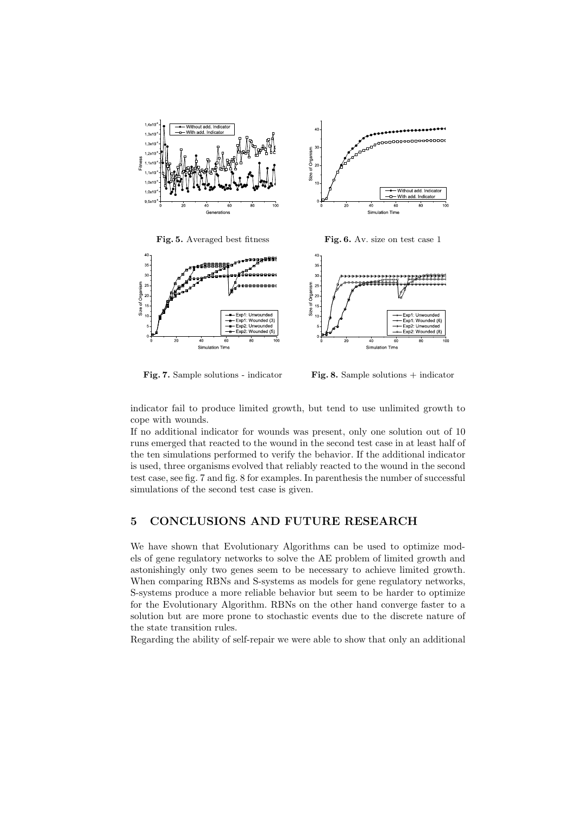

**Fig. 5.** Averaged best fitness **Fig. 6.** Av. size on test case 1



**Fig. 7.** Sample solutions - indicator **Fig. 8.** Sample solutions + indicator

indicator fail to produce limited growth, but tend to use unlimited growth to cope with wounds.

If no additional indicator for wounds was present, only one solution out of 10 runs emerged that reacted to the wound in the second test case in at least half of the ten simulations performed to verify the behavior. If the additional indicator is used, three organisms evolved that reliably reacted to the wound in the second test case, see fig. 7 and fig. 8 for examples. In parenthesis the number of successful simulations of the second test case is given.

## **5 CONCLUSIONS AND FUTURE RESEARCH**

We have shown that Evolutionary Algorithms can be used to optimize models of gene regulatory networks to solve the AE problem of limited growth and astonishingly only two genes seem to be necessary to achieve limited growth. When comparing RBNs and S-systems as models for gene regulatory networks, S-systems produce a more reliable behavior but seem to be harder to optimize for the Evolutionary Algorithm. RBNs on the other hand converge faster to a solution but are more prone to stochastic events due to the discrete nature of the state transition rules.

Regarding the ability of self-repair we were able to show that only an additional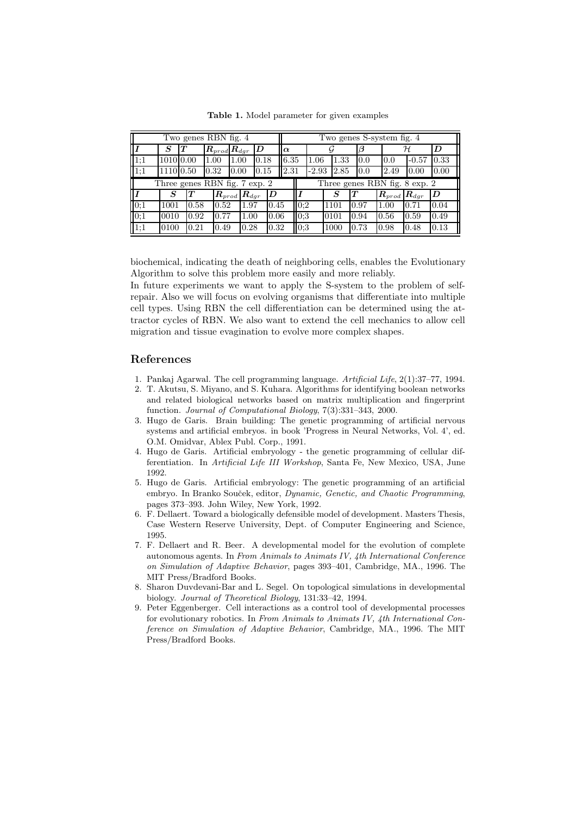Two genes RBN fig. 4  $\parallel$  Two genes S-system fig. 4  $I$  *S T*  $R_{prod} R_{dgr}$  *D*  $\alpha$  *G B A D* 1;1 |1010|0.00 |1.00 |1.00 |0.18 ||6.35 |1.06 |1.33 |0.0 |0.0 |-0.57 |0.33 1;1 |1110|0.50 |0.32 |0.00 |0.15 ||2.31 |-2.93 |2.85 |0.0 |2.49 |0.00 |0.00 Three genes RBN fig. 7 exp. 2  $\blacksquare$  Three genes RBN fig. 8 exp. 2  $I$  **/**  $S$   $T$   $R_{prod}$   $R_{dgr}$   $D$   $\parallel$   $I$   $\parallel$   $S$   $T$   $\parallel$   $R_{prod}$   $R_{dgr}$   $D$ 0;1 |1001 |0.58 |0.52 |1.97 |0.45 ||0;2 |1101 |0.97 |1.00 |0.71 |0.04 0;1 0010 0.92 0.77 1.00 0.06 0;3 0101 0.94 0.56 0.59 0.49 1;1 |0100 |0.21 |0.49 |0.28 |0.32 ||0;3 |1000 |0.73 |0.98 |0.48 |0.13

**Table 1.** Model parameter for given examples

biochemical, indicating the death of neighboring cells, enables the Evolutionary Algorithm to solve this problem more easily and more reliably.

In future experiments we want to apply the S-system to the problem of selfrepair. Also we will focus on evolving organisms that differentiate into multiple cell types. Using RBN the cell differentiation can be determined using the attractor cycles of RBN. We also want to extend the cell mechanics to allow cell migration and tissue evagination to evolve more complex shapes.

# **References**

- 1. Pankaj Agarwal. The cell programming language. *Artificial Life*, 2(1):37–77, 1994.
- 2. T. Akutsu, S. Miyano, and S. Kuhara. Algorithms for identifying boolean networks and related biological networks based on matrix multiplication and fingerprint function. *Journal of Computational Biology*, 7(3):331–343, 2000.
- 3. Hugo de Garis. Brain building: The genetic programming of artificial nervous systems and artificial embryos. in book 'Progress in Neural Networks, Vol. 4', ed. O.M. Omidvar, Ablex Publ. Corp., 1991.
- 4. Hugo de Garis. Artificial embryology the genetic programming of cellular differentiation. In *Artificial Life III Workshop*, Santa Fe, New Mexico, USA, June 1992.
- 5. Hugo de Garis. Artificial embryology: The genetic programming of an artificial embryo. In Branko Souček, editor, *Dynamic, Genetic, and Chaotic Programming*, pages 373–393. John Wiley, New York, 1992.
- 6. F. Dellaert. Toward a biologically defensible model of development. Masters Thesis, Case Western Reserve University, Dept. of Computer Engineering and Science, 1995.
- 7. F. Dellaert and R. Beer. A developmental model for the evolution of complete autonomous agents. In *From Animals to Animats IV, 4th International Conference on Simulation of Adaptive Behavior*, pages 393–401, Cambridge, MA., 1996. The MIT Press/Bradford Books.
- 8. Sharon Duvdevani-Bar and L. Segel. On topological simulations in developmental biology. *Journal of Theoretical Biology*, 131:33–42, 1994.
- 9. Peter Eggenberger. Cell interactions as a control tool of developmental processes for evolutionary robotics. In *From Animals to Animats IV, 4th International Conference on Simulation of Adaptive Behavior*, Cambridge, MA., 1996. The MIT Press/Bradford Books.